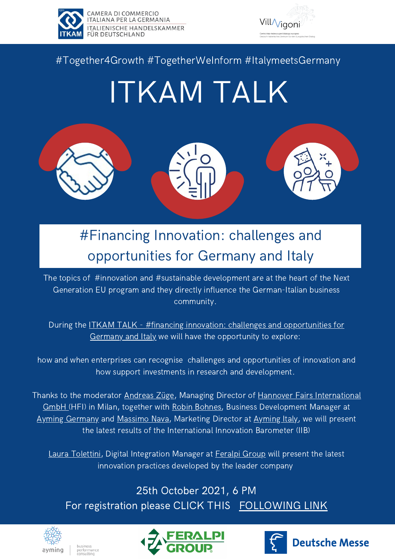

CAMERA DI COMMERCIO<br>ITALIANA PER LA GERMANIA **ITALIENISCHE HANDELSKAMMER FÜR DEUTSCHLAND** 



### #Together4Growth #TogetherWeInform #ItalymeetsGermany

# ITKAM TALK



## #Financing Innovation: challenges and opportunities for Germany and Italy

The topics of #innovation and #sustainable development are at the heart of the Next Generation EU program and they directly influence the German-Italian business community.

During the **ITKAM TALK** - #financing [innovation:](https://itkam.org/events/itkam-talk-financing-innovation/) challenges and opportunities for Germany and Italy we will have the opportunity to explore:

how and when enterprises can recognise challenges and opportunities of innovation and how support investments in research and development.

Thanks to the moderator [Andreas](https://www.linkedin.com/in/andreas-zuege-43b50730/?originalSubdomain=it) Züge, Managing Director of Hannover Fairs International GmbH (HFI) in Milan, together with Robin [Bohnes](https://www.linkedin.com/in/robin-bohnes-0368b2200/?originalSubdomain=de), Business [Development](https://www.messe.de/en/company/subsidiaries/worldwide/hannover-fairs-international.xhtml) Manager at Ayming [Germany](https://www.ayming.de/) and [Massimo](https://www.linkedin.com/in/massimonava82/) Nava, Marketing Director at [Ayming](https://www.ayming.it/) Italy, we will present the latest results of the International Innovation Barometer (IIB)

Laura [Tolettini](https://it.linkedin.com/in/laura-tolettini-741a228a), Digital Integration Manager at [Feralpi](https://www.feralpigroup.com/en) Group will present the latest innovation practices developed by the leader company

25th October 2021, 6 PM For registration please CLICK THIS [FOLLOWING](https://us02web.zoom.us/webinar/register/WN_hUIW29WHSvSBqHvNSQqsaQ) LINK